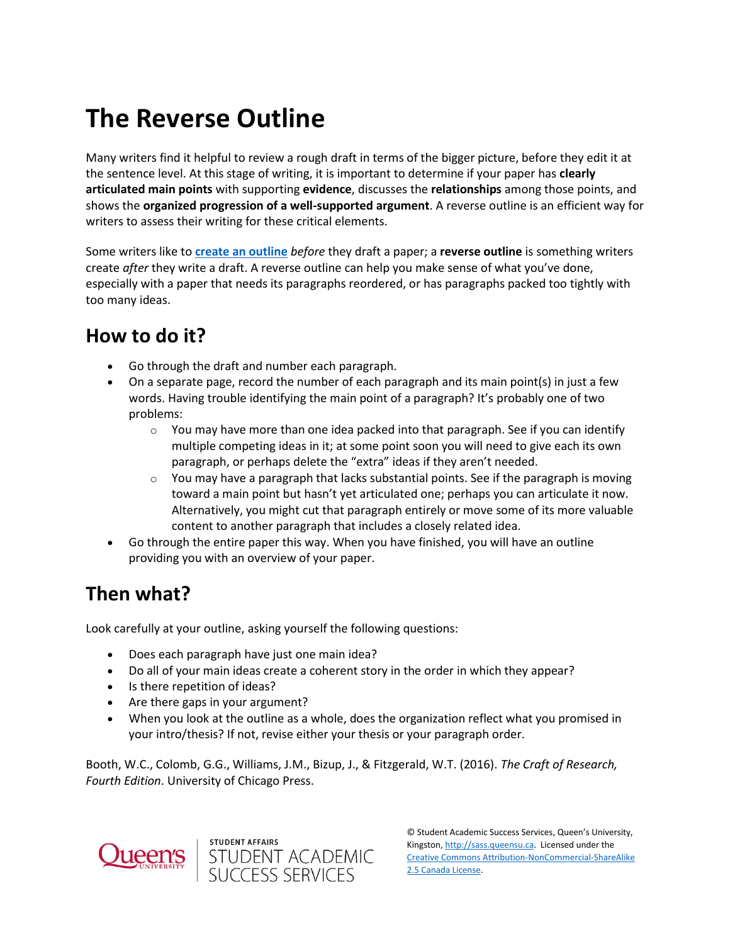## **The Reverse Outline**

Many writers find it helpful to review a rough draft in terms of the bigger picture, before they edit it at the sentence level. At this stage of writing, it is important to determine if your paper has **clearly articulated main points** with supporting **evidence**, discusses the **relationships** among those points, and shows the **organized progression of a well-supported argument**. A reverse outline is an efficient way for writers to assess their writing for these critical elements.

Some writers like to **[create an outline](https://wp3-dev.its.queensu.ca/ha/sasswww/resources/outlines)** *before* they draft a paper; a **reverse outline** is something writers create *after* they write a draft. A reverse outline can help you make sense of what you've done, especially with a paper that needs its paragraphs reordered, or has paragraphs packed too tightly with too many ideas.

## **How to do it?**

- Go through the draft and number each paragraph.
- On a separate page, record the number of each paragraph and its main point(s) in just a few words. Having trouble identifying the main point of a paragraph? It's probably one of two problems:
	- $\circ$  You may have more than one idea packed into that paragraph. See if you can identify multiple competing ideas in it; at some point soon you will need to give each its own paragraph, or perhaps delete the "extra" ideas if they aren't needed.
	- $\circ$  You may have a paragraph that lacks substantial points. See if the paragraph is moving toward a main point but hasn't yet articulated one; perhaps you can articulate it now. Alternatively, you might cut that paragraph entirely or move some of its more valuable content to another paragraph that includes a closely related idea.
- Go through the entire paper this way. When you have finished, you will have an outline providing you with an overview of your paper.

## **Then what?**

Look carefully at your outline, asking yourself the following questions:

- Does each paragraph have just one main idea?
- Do all of your main ideas create a coherent story in the order in which they appear?
- Is there repetition of ideas?
- Are there gaps in your argument?
- When you look at the outline as a whole, does the organization reflect what you promised in your intro/thesis? If not, revise either your thesis or your paragraph order.

Booth, W.C., Colomb, G.G., Williams, J.M., Bizup, J., & Fitzgerald, W.T. (2016). *The Craft of Research, Fourth Edition*. University of Chicago Press.